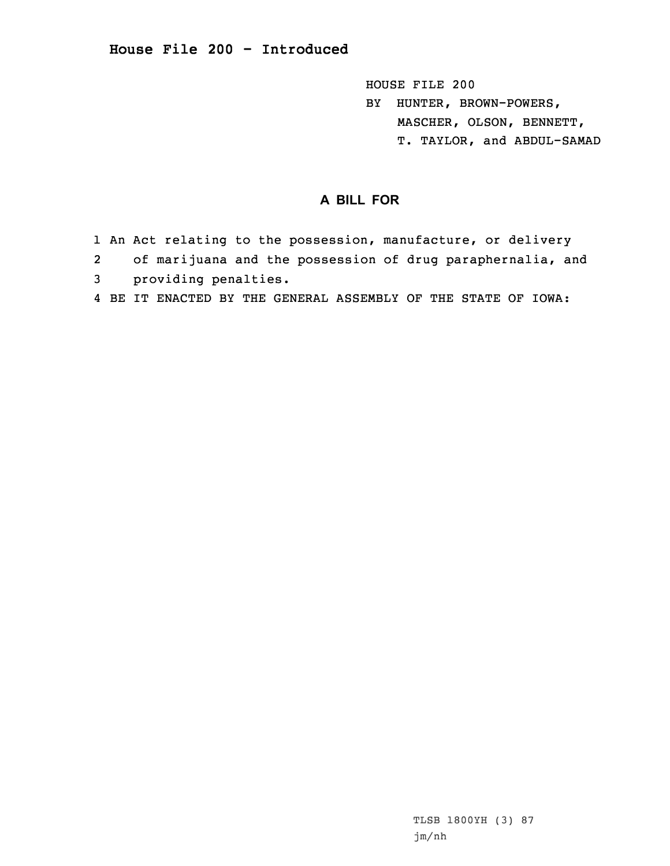**House File 200 - Introduced**

HOUSE FILE 200 BY HUNTER, BROWN-POWERS, MASCHER, OLSON, BENNETT, T. TAYLOR, and ABDUL-SAMAD

## **A BILL FOR**

- 1 An Act relating to the possession, manufacture, or delivery
- 2of marijuana and the possession of drug paraphernalia, and
- 3 providing penalties.
- 4 BE IT ENACTED BY THE GENERAL ASSEMBLY OF THE STATE OF IOWA: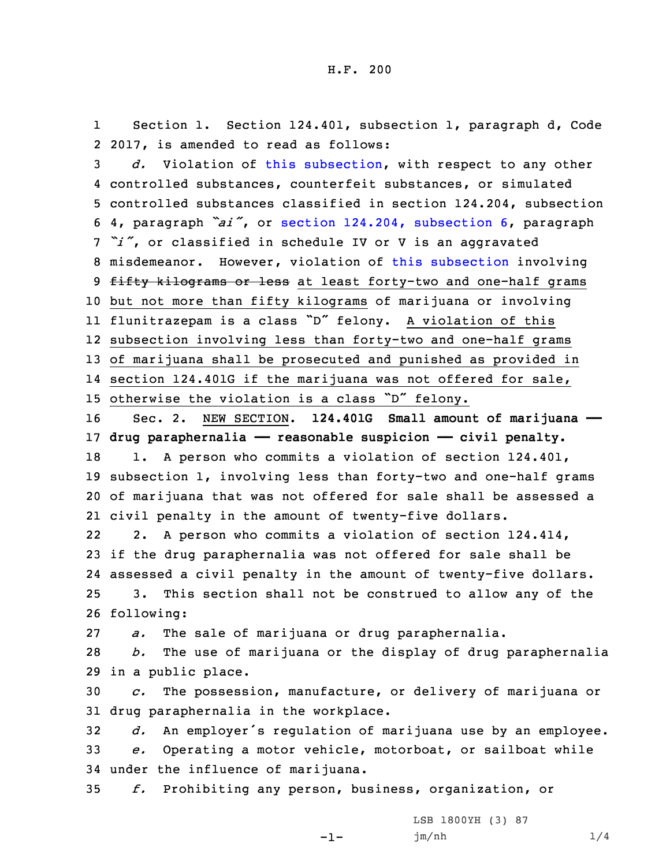1 Section 1. Section 124.401, subsection 1, paragraph d, Code 2 2017, is amended to read as follows:

 *d.* Violation of this [subsection](https://www.legis.iowa.gov/docs/code/2017/124.401.pdf), with respect to any other controlled substances, counterfeit substances, or simulated controlled substances classified in section 124.204, subsection 4, paragraph *"ai"*, or section 124.204, [subsection](https://www.legis.iowa.gov/docs/code/2017/124.204.pdf) 6, paragraph *"i"*, or classified in schedule IV or <sup>V</sup> is an aggravated misdemeanor. However, violation of this [subsection](https://www.legis.iowa.gov/docs/code/2017/124.401.pdf) involving 9 fifty kilograms or less at least forty-two and one-half grams but not more than fifty kilograms of marijuana or involving flunitrazepam is <sup>a</sup> class "D" felony. <sup>A</sup> violation of this subsection involving less than forty-two and one-half grams of marijuana shall be prosecuted and punished as provided in section 124.401G if the marijuana was not offered for sale, otherwise the violation is <sup>a</sup> class "D" felony. Sec. 2. NEW SECTION. **124.401G Small amount of marijuana —— drug paraphernalia —— reasonable suspicion —— civil penalty.** 18 1. A person who commits a violation of section 124.401, subsection 1, involving less than forty-two and one-half grams of marijuana that was not offered for sale shall be assessed <sup>a</sup> civil penalty in the amount of twenty-five dollars. 22 2. <sup>A</sup> person who commits <sup>a</sup> violation of section 124.414, if the drug paraphernalia was not offered for sale shall be assessed <sup>a</sup> civil penalty in the amount of twenty-five dollars. 3. This section shall not be construed to allow any of the following: *a.* The sale of marijuana or drug paraphernalia. *b.* The use of marijuana or the display of drug paraphernalia in <sup>a</sup> public place.

30 *c.* The possession, manufacture, or delivery of marijuana or 31 drug paraphernalia in the workplace.

<sup>32</sup> *d.* An employer's regulation of marijuana use by an employee. 33 *e.* Operating <sup>a</sup> motor vehicle, motorboat, or sailboat while

34 under the influence of marijuana.

35 *f.* Prohibiting any person, business, organization, or

-1-

LSB 1800YH (3) 87 jm/nh 1/4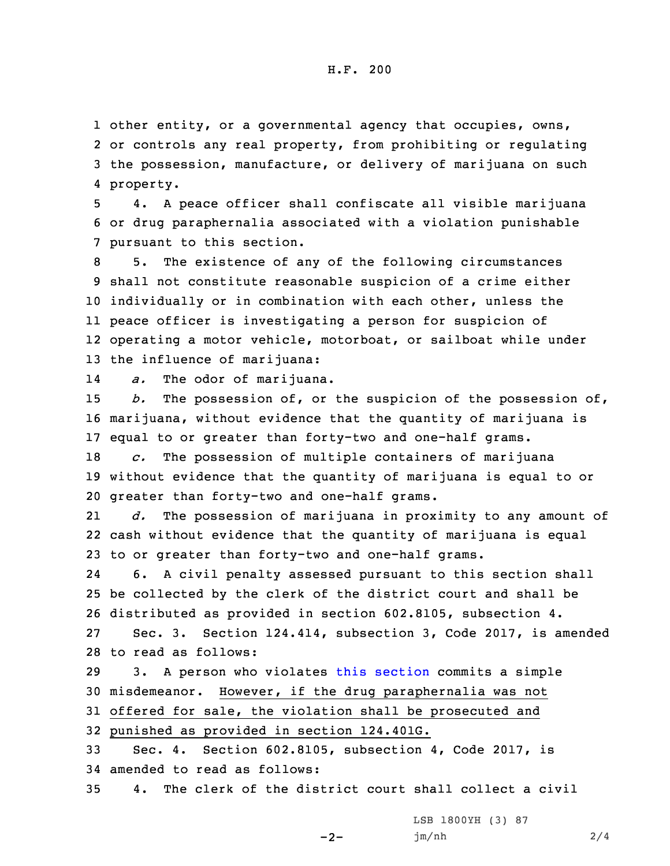other entity, or <sup>a</sup> governmental agency that occupies, owns, or controls any real property, from prohibiting or regulating the possession, manufacture, or delivery of marijuana on such property.

5 4. <sup>A</sup> peace officer shall confiscate all visible marijuana 6 or drug paraphernalia associated with <sup>a</sup> violation punishable 7 pursuant to this section.

 5. The existence of any of the following circumstances shall not constitute reasonable suspicion of <sup>a</sup> crime either individually or in combination with each other, unless the peace officer is investigating <sup>a</sup> person for suspicion of operating <sup>a</sup> motor vehicle, motorboat, or sailboat while under the influence of marijuana:

14*a.* The odor of marijuana.

15 *b.* The possession of, or the suspicion of the possession of, 16 marijuana, without evidence that the quantity of marijuana is 17 equal to or greater than forty-two and one-half grams.

18 *c.* The possession of multiple containers of marijuana 19 without evidence that the quantity of marijuana is equal to or 20 greater than forty-two and one-half grams.

21 *d.* The possession of marijuana in proximity to any amount of 22 cash without evidence that the quantity of marijuana is equal 23 to or greater than forty-two and one-half grams.

24 6. <sup>A</sup> civil penalty assessed pursuant to this section shall 25 be collected by the clerk of the district court and shall be 26 distributed as provided in section 602.8105, subsection 4. 27 Sec. 3. Section 124.414, subsection 3, Code 2017, is amended

```
28 to read as follows:
```
 3. <sup>A</sup> person who violates this [section](https://www.legis.iowa.gov/docs/code/2017/124.414.pdf) commits <sup>a</sup> simple misdemeanor. However, if the drug paraphernalia was not offered for sale, the violation shall be prosecuted and punished as provided in section 124.401G.

33 Sec. 4. Section 602.8105, subsection 4, Code 2017, is 34 amended to read as follows:

35 4. The clerk of the district court shall collect <sup>a</sup> civil

LSB 1800YH (3) 87 jm/nh 2/4

 $-2-$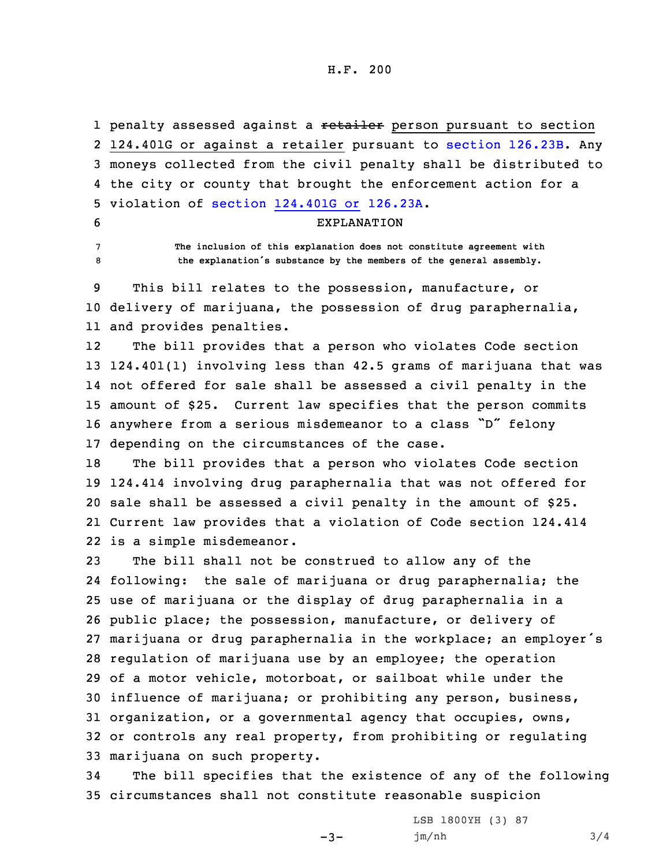H.F. 200

1 penalty assessed against a <del>retailer</del> person pursuant to section 2 124.401G or against a retailer pursuant to section [126.23B](https://www.legis.iowa.gov/docs/code/2017/126.23B.pdf). Any 3 moneys collected from the civil penalty shall be distributed to 4 the city or county that brought the enforcement action for <sup>a</sup> 5 violation of section [124.401G](https://www.legis.iowa.gov/docs/code/2017/126.23A.pdf) or 126.23A.

6 EXPLANATION

7 **The inclusion of this explanation does not constitute agreement with** <sup>8</sup> **the explanation's substance by the members of the general assembly.**

9 This bill relates to the possession, manufacture, or 10 delivery of marijuana, the possession of drug paraphernalia, 11 and provides penalties.

12 The bill provides that <sup>a</sup> person who violates Code section 124.401(1) involving less than 42.5 grams of marijuana that was not offered for sale shall be assessed <sup>a</sup> civil penalty in the amount of \$25. Current law specifies that the person commits anywhere from <sup>a</sup> serious misdemeanor to <sup>a</sup> class "D" felony depending on the circumstances of the case.

 The bill provides that <sup>a</sup> person who violates Code section 124.414 involving drug paraphernalia that was not offered for sale shall be assessed <sup>a</sup> civil penalty in the amount of \$25. Current law provides that <sup>a</sup> violation of Code section 124.414 is <sup>a</sup> simple misdemeanor.

 The bill shall not be construed to allow any of the following: the sale of marijuana or drug paraphernalia; the use of marijuana or the display of drug paraphernalia in <sup>a</sup> public place; the possession, manufacture, or delivery of marijuana or drug paraphernalia in the workplace; an employer's regulation of marijuana use by an employee; the operation of <sup>a</sup> motor vehicle, motorboat, or sailboat while under the influence of marijuana; or prohibiting any person, business, organization, or <sup>a</sup> governmental agency that occupies, owns, or controls any real property, from prohibiting or regulating marijuana on such property.

34 The bill specifies that the existence of any of the following 35 circumstances shall not constitute reasonable suspicion

 $-3-$ 

LSB 1800YH (3) 87 jm/nh 3/4